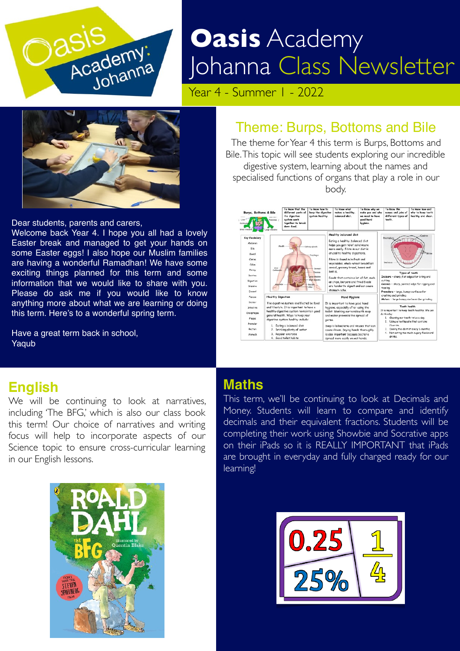

# SIS<br>Academy: Johanna Class Ne Johanna Class Newsletter

Year 4 - Summer 1 - 2022



Dear students, parents and carers,

Welcome back Year 4. I hope you all had a lovely Easter break and managed to get your hands on some Easter eggs! I also hope our Muslim families are having a wonderful Ramadhan! We have some exciting things planned for this term and some information that we would like to share with you. Please do ask me if you would like to know anything more about what we are learning or doing this term. Here's to a wonderful spring term.

Have a great term back in school, Yaqub

## Theme: Burps, Bottoms and Bile

The theme for Year 4 this term is Burps, Bottoms and Bile. This topic will see students exploring our incredible digestive system, learning about the names and specialised functions of organs that play a role in our body.



### **English**

We will be continuing to look at narratives, including 'The BFG,' which is also our class book this term! Our choice of narratives and writing focus will help to incorporate aspects of our Science topic to ensure cross-curricular learning in our English lessons.



#### **Maths**

This term, we'll be continuing to look at Decimals and Money. Students will learn to compare and identify decimals and their equivalent fractions. Students will be completing their work using Showbie and Socrative apps on their iPads so it is REALLY IMPORTANT that iPads are brought in everyday and fully charged ready for our learning!